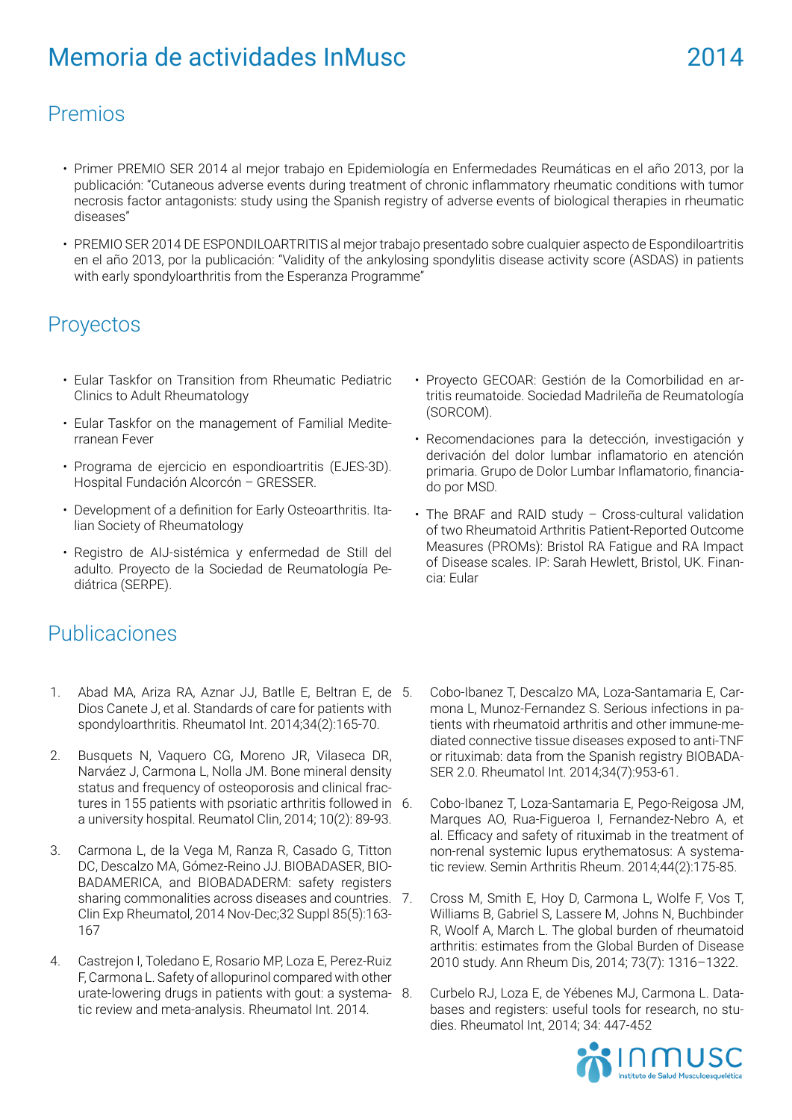## Premios

- Primer PREMIO SER 2014 al mejor trabajo en Epidemiología en Enfermedades Reumáticas en el año 2013, por la publicación: "Cutaneous adverse events during treatment of chronic inflammatory rheumatic conditions with tumor necrosis factor antagonists: study using the Spanish registry of adverse events of biological therapies in rheumatic diseases"
- PREMIO SER 2014 DE ESPONDILOARTRITIS al mejor trabajo presentado sobre cualquier aspecto de Espondiloartritis en el año 2013, por la publicación: "Validity of the ankylosing spondylitis disease activity score (ASDAS) in patients with early spondyloarthritis from the Esperanza Programme"

## Proyectos

- Eular Taskfor on Transition from Rheumatic Pediatric Clinics to Adult Rheumatology
- Eular Taskfor on the management of Familial Mediterranean Fever
- Programa de ejercicio en espondioartritis (EJES-3D). Hospital Fundación Alcorcón – GRESSER.
- Development of a definition for Early Osteoarthritis. Italian Society of Rheumatology
- Registro de AIJ-sistémica y enfermedad de Still del adulto. Proyecto de la Sociedad de Reumatología Pediátrica (SERPE).
- Proyecto GECOAR: Gestión de la Comorbilidad en artritis reumatoide. Sociedad Madrileña de Reumatología (SORCOM).
- Recomendaciones para la detección, investigación y derivación del dolor lumbar inflamatorio en atención primaria. Grupo de Dolor Lumbar Inflamatorio, financiado por MSD.
- The BRAF and RAID study Cross-cultural validation of two Rheumatoid Arthritis Patient-Reported Outcome Measures (PROMs): Bristol RA Fatigue and RA Impact of Disease scales. IP: Sarah Hewlett, Bristol, UK. Financia: Eular

## Publicaciones

- 1. Abad MA, Ariza RA, Aznar JJ, Batlle E, Beltran E, de Dios Canete J, et al. Standards of care for patients with spondyloarthritis. Rheumatol Int. 2014;34(2):165-70.
- 2. Busquets N, Vaquero CG, Moreno JR, Vilaseca DR, Narváez J, Carmona L, Nolla JM. Bone mineral density status and frequency of osteoporosis and clinical fractures in 155 patients with psoriatic arthritis followed in a university hospital. Reumatol Clin, 2014; 10(2): 89-93.
- 3. Carmona L, de la Vega M, Ranza R, Casado G, Titton DC, Descalzo MA, Gómez-Reino JJ. BIOBADASER, BIO-BADAMERICA, and BIOBADADERM: safety registers sharing commonalities across diseases and countries. 7. Clin Exp Rheumatol, 2014 Nov-Dec;32 Suppl 85(5):163- 167
- 4. Castrejon I, Toledano E, Rosario MP, Loza E, Perez-Ruiz F, Carmona L. Safety of allopurinol compared with other urate-lowering drugs in patients with gout: a systematic review and meta-analysis. Rheumatol Int. 2014.
- 5. Cobo-Ibanez T, Descalzo MA, Loza-Santamaria E, Carmona L, Munoz-Fernandez S. Serious infections in patients with rheumatoid arthritis and other immune-mediated connective tissue diseases exposed to anti-TNF or rituximab: data from the Spanish registry BIOBADA-SER 2.0. Rheumatol Int. 2014;34(7):953-61.
- 6. Cobo-Ibanez T, Loza-Santamaria E, Pego-Reigosa JM, Marques AO, Rua-Figueroa I, Fernandez-Nebro A, et al. Efficacy and safety of rituximab in the treatment of non-renal systemic lupus erythematosus: A systematic review. Semin Arthritis Rheum. 2014;44(2):175-85.
- 7. Cross M, Smith E, Hoy D, Carmona L, Wolfe F, Vos T, Williams B, Gabriel S, Lassere M, Johns N, Buchbinder R, Woolf A, March L. The global burden of rheumatoid arthritis: estimates from the Global Burden of Disease 2010 study. Ann Rheum Dis, 2014; 73(7): 1316–1322.
- Curbelo RJ, Loza E, de Yébenes MJ, Carmona L. Databases and registers: useful tools for research, no studies. Rheumatol Int, 2014; 34: 447-452

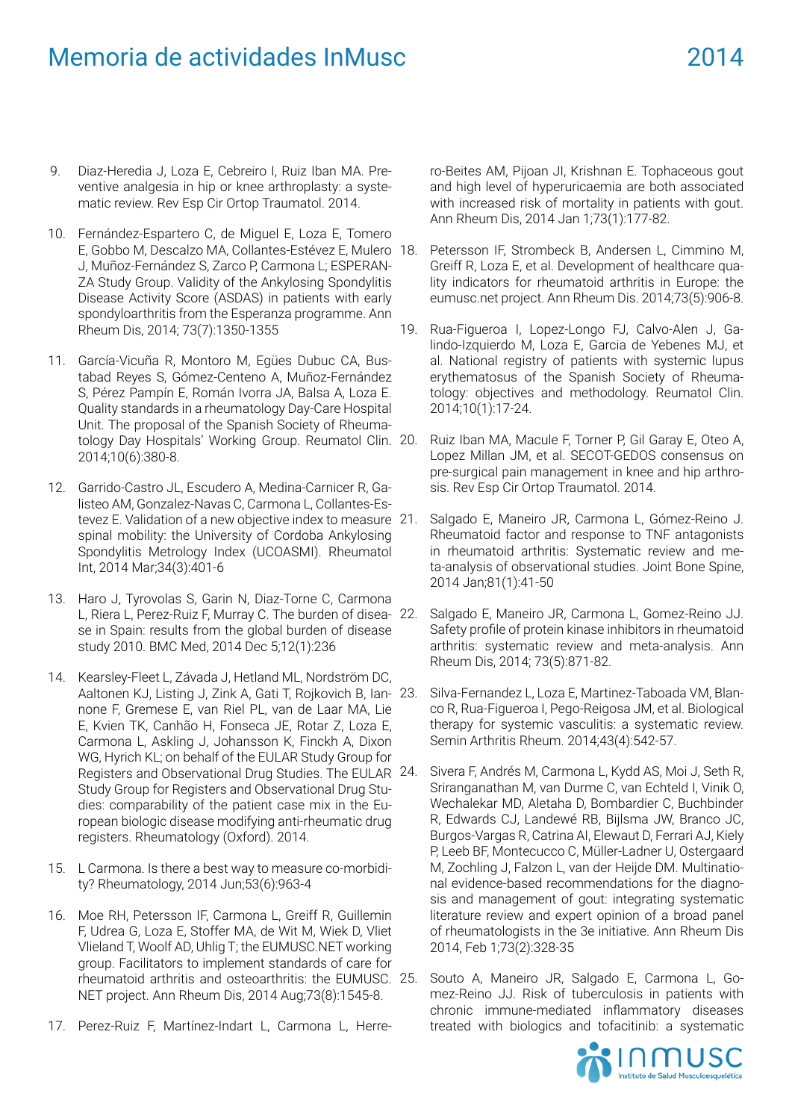- 9. Diaz-Heredia J, Loza E, Cebreiro I, Ruiz Iban MA. Preventive analgesia in hip or knee arthroplasty: a systematic review. Rev Esp Cir Ortop Traumatol. 2014.
- 10. Fernández-Espartero C, de Miguel E, Loza E, Tomero E, Gobbo M, Descalzo MA, Collantes-Estévez E, Mulero J, Muñoz-Fernández S, Zarco P, Carmona L; ESPERAN-ZA Study Group. Validity of the Ankylosing Spondylitis Disease Activity Score (ASDAS) in patients with early spondyloarthritis from the Esperanza programme. Ann Rheum Dis, 2014; 73(7):1350-1355
- 11. García-Vicuña R, Montoro M, Egües Dubuc CA, Bustabad Reyes S, Gómez-Centeno A, Muñoz-Fernández S, Pérez Pampín E, Román Ivorra JA, Balsa A, Loza E. Quality standards in a rheumatology Day-Care Hospital Unit. The proposal of the Spanish Society of Rheumatology Day Hospitals' Working Group. Reumatol Clin. 2014;10(6):380-8.
- 12. Garrido-Castro JL, Escudero A, Medina-Carnicer R, Galisteo AM, Gonzalez-Navas C, Carmona L, Collantes-Estevez E. Validation of a new objective index to measure 21. spinal mobility: the University of Cordoba Ankylosing Spondylitis Metrology Index (UCOASMI). Rheumatol Int, 2014 Mar;34(3):401-6
- 13. Haro J, Tyrovolas S, Garin N, Diaz-Torne C, Carmona L, Riera L, Perez-Ruiz F, Murray C. The burden of disease in Spain: results from the global burden of disease study 2010. BMC Med, 2014 Dec 5;12(1):236
- 14. Kearsley-Fleet L, Závada J, Hetland ML, Nordström DC, Aaltonen KJ, Listing J, Zink A, Gati T, Rojkovich B, Ian- 23. none F, Gremese E, van Riel PL, van de Laar MA, Lie E, Kvien TK, Canhão H, Fonseca JE, Rotar Z, Loza E, Carmona L, Askling J, Johansson K, Finckh A, Dixon WG, Hyrich KL; on behalf of the EULAR Study Group for Registers and Observational Drug Studies. The EULAR Study Group for Registers and Observational Drug Studies: comparability of the patient case mix in the European biologic disease modifying anti-rheumatic drug registers. Rheumatology (Oxford). 2014.
- 15. L Carmona. Is there a best way to measure co-morbidity? Rheumatology, 2014 Jun;53(6):963-4
- 16. Moe RH, Petersson IF, Carmona L, Greiff R, Guillemin F, Udrea G, Loza E, Stoffer MA, de Wit M, Wiek D, Vliet Vlieland T, Woolf AD, Uhlig T; the EUMUSC.NET working group. Facilitators to implement standards of care for rheumatoid arthritis and osteoarthritis: the EUMUSC. NET project. Ann Rheum Dis, 2014 Aug;73(8):1545-8.
- 17. Perez-Ruiz F, Martínez-Indart L, Carmona L, Herre-

ro-Beites AM, Pijoan JI, Krishnan E. Tophaceous gout and high level of hyperuricaemia are both associated with increased risk of mortality in patients with gout. Ann Rheum Dis, 2014 Jan 1;73(1):177-82.

- Petersson IF, Strombeck B, Andersen L, Cimmino M, Greiff R, Loza E, et al. Development of healthcare quality indicators for rheumatoid arthritis in Europe: the eumusc.net project. Ann Rheum Dis. 2014;73(5):906-8.
- 19. Rua-Figueroa I, Lopez-Longo FJ, Calvo-Alen J, Galindo-Izquierdo M, Loza E, Garcia de Yebenes MJ, et al. National registry of patients with systemic lupus erythematosus of the Spanish Society of Rheumatology: objectives and methodology. Reumatol Clin. 2014;10(1):17-24.
	- Ruiz Iban MA, Macule F, Torner P, Gil Garay E, Oteo A, Lopez Millan JM, et al. SECOT-GEDOS consensus on pre-surgical pain management in knee and hip arthrosis. Rev Esp Cir Ortop Traumatol. 2014.
	- Salgado E, Maneiro JR, Carmona L, Gómez-Reino J. Rheumatoid factor and response to TNF antagonists in rheumatoid arthritis: Systematic review and meta-analysis of observational studies. Joint Bone Spine, 2014 Jan;81(1):41-50
	- Salgado E, Maneiro JR, Carmona L, Gomez-Reino JJ. Safety profile of protein kinase inhibitors in rheumatoid arthritis: systematic review and meta-analysis. Ann Rheum Dis, 2014; 73(5):871-82.
	- 23. Silva-Fernandez L, Loza E, Martinez-Taboada VM, Blanco R, Rua-Figueroa I, Pego-Reigosa JM, et al. Biological therapy for systemic vasculitis: a systematic review. Semin Arthritis Rheum. 2014;43(4):542-57.
	- Sivera F, Andrés M, Carmona L, Kydd AS, Moi J, Seth R, Sriranganathan M, van Durme C, van Echteld I, Vinik O, Wechalekar MD, Aletaha D, Bombardier C, Buchbinder R, Edwards CJ, Landewé RB, Bijlsma JW, Branco JC, Burgos-Vargas R, Catrina AI, Elewaut D, Ferrari AJ, Kiely P, Leeb BF, Montecucco C, Müller-Ladner U, Ostergaard M, Zochling J, Falzon L, van der Heijde DM. Multinational evidence-based recommendations for the diagnosis and management of gout: integrating systematic literature review and expert opinion of a broad panel of rheumatologists in the 3e initiative. Ann Rheum Dis 2014, Feb 1;73(2):328-35
	- Souto A, Maneiro JR, Salgado E, Carmona L, Gomez-Reino JJ. Risk of tuberculosis in patients with chronic immune-mediated inflammatory diseases treated with biologics and tofacitinib: a systematic